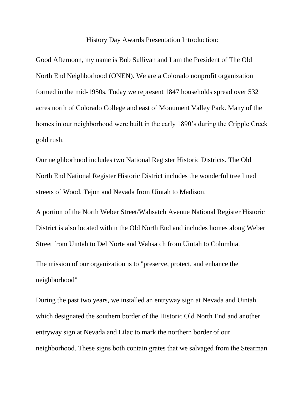History Day Awards Presentation Introduction:

Good Afternoon, my name is Bob Sullivan and I am the President of The Old North End Neighborhood (ONEN). We are a Colorado nonprofit organization formed in the mid-1950s. Today we represent 1847 households spread over 532 acres north of Colorado College and east of Monument Valley Park. Many of the homes in our neighborhood were built in the early 1890's during the Cripple Creek gold rush.

Our neighborhood includes two National Register Historic Districts. The Old North End National Register Historic District includes the wonderful tree lined streets of Wood, Tejon and Nevada from Uintah to Madison.

A portion of the North Weber Street/Wahsatch Avenue National Register Historic District is also located within the Old North End and includes homes along Weber Street from Uintah to Del Norte and Wahsatch from Uintah to Columbia.

The mission of our organization is to "preserve, protect, and enhance the neighborhood"

During the past two years, we installed an entryway sign at Nevada and Uintah which designated the southern border of the Historic Old North End and another entryway sign at Nevada and Lilac to mark the northern border of our neighborhood. These signs both contain grates that we salvaged from the Stearman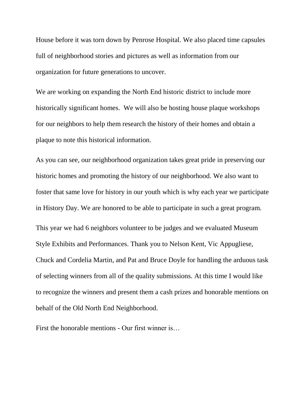House before it was torn down by Penrose Hospital. We also placed time capsules full of neighborhood stories and pictures as well as information from our organization for future generations to uncover.

We are working on expanding the North End historic district to include more historically significant homes. We will also be hosting house plaque workshops for our neighbors to help them research the history of their homes and obtain a plaque to note this historical information.

As you can see, our neighborhood organization takes great pride in preserving our historic homes and promoting the history of our neighborhood. We also want to foster that same love for history in our youth which is why each year we participate in History Day. We are honored to be able to participate in such a great program. This year we had 6 neighbors volunteer to be judges and we evaluated Museum Style Exhibits and Performances. Thank you to Nelson Kent, Vic Appugliese, Chuck and Cordelia Martin, and Pat and Bruce Doyle for handling the arduous task of selecting winners from all of the quality submissions. At this time I would like to recognize the winners and present them a cash prizes and honorable mentions on behalf of the Old North End Neighborhood.

First the honorable mentions - Our first winner is…